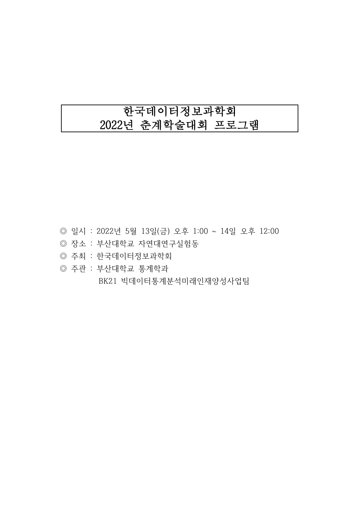# 한국데이터정보과학회 2022년 춘계학술대회 프로그램

- ◎ 일시 : 2022년 5월 13일(금) 오후 1:00 ~ 14일 오후 12:00
- ◎ 장소 : 부산대학교 자연대연구실험동
- ◎ 주최 : 한국데이터정보과학회
- ◎ 주관 : 부산대학교 통계학과

BK21 빅데이터통계분석미래인재양성사업팀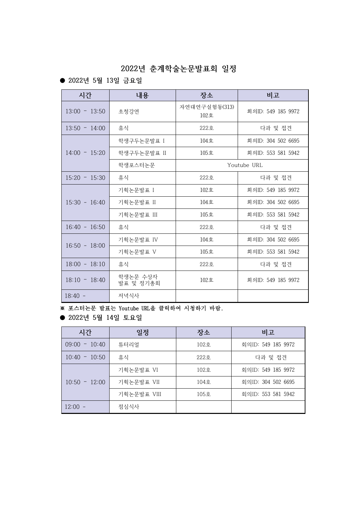# **2022년 춘계학술논문발표회 일정**

## ● **2022년 5월 13일 금요일**

| 시간              | 내용                    | 장소                    | 비고                 |
|-----------------|-----------------------|-----------------------|--------------------|
| $13:00 - 13:50$ | 초청강연                  | 자연대연구실험동(313)<br>102호 | 회의ID: 549 185 9972 |
| $13:50 - 14:00$ | 휴식                    | 222호                  | 다과 및 접견            |
|                 | 학생구두논문발표 I            | 104호                  | 회의ID: 304 502 6695 |
| $14:00 - 15:20$ | 학생구두논문발표 II           | 105호                  | 회의ID: 553 581 5942 |
|                 | 학생포스터논문               |                       | Youtube URL        |
| $15:20 - 15:30$ | 휴식                    | $222 - 5$             | 다과 및 접견            |
|                 | 기획논문발표 I              | 102호                  | 회의ID: 549 185 9972 |
| $15:30 - 16:40$ | 기획논문발표 II             | 104호                  | 회의ID: 304 502 6695 |
|                 | 기획논문발표 III            | $105$ 호               | 회의ID: 553 581 5942 |
| $16:40 - 16:50$ | 휴식                    | $222 = 5$             | 다과 및 접견            |
|                 | 기획논문발표 IV             | 104호                  | 회의ID: 304 502 6695 |
| $16:50 - 18:00$ | 기획논문발표 V              | 105호                  | 회의ID: 553 581 5942 |
| $18:00 - 18:10$ | 휴식                    | 222호                  | 다과 및 접견            |
| $18:10 - 18:40$ | 학생논문 수상자<br>발표 및 정기총회 | 102호                  | 회의ID: 549 185 9972 |
| $18:40 -$       | 저녁식사                  |                       |                    |

※ 포스터논문 발표는 Youtube URL을 클릭하여 시청하기 바람.

● **2022년 5월 14일 토요일**

| 시간              | 일정          | 장소              | 비고                 |
|-----------------|-------------|-----------------|--------------------|
| $09:00 - 10:40$ | 튜터리얼        | $102 - 5$       | 회의ID: 549 185 9972 |
| $10:40 - 10:50$ | 휴식          | $222 - 5$       | 다과 및 접견            |
|                 | 기획논문발표 VI   | $102 - 5$       | 회의ID: 549 185 9972 |
| $10:50 - 12:00$ | 기획논문발표 VII  | $104 \bar{8}$ . | 회의ID: 304 502 6695 |
|                 | 기획논문발표 VIII | 105호            | 회의ID: 553 581 5942 |
| $12:00 -$       | 점심식사        |                 |                    |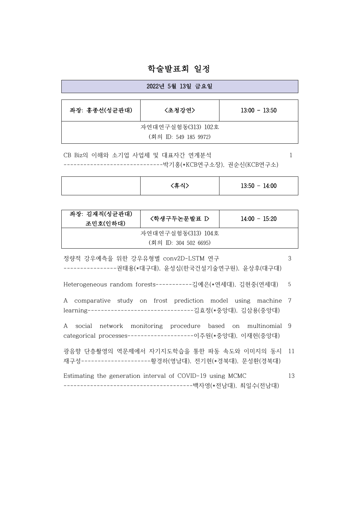## 학술발표회 일정

| 2022년 5월 13일 금요일      |        |                 |  |  |
|-----------------------|--------|-----------------|--|--|
|                       |        |                 |  |  |
| 좌장: 홍종선(성균관대)         | 〈초청강연〉 | $13:00 - 13:50$ |  |  |
|                       |        |                 |  |  |
| 자연대연구실험동(313) 102호    |        |                 |  |  |
| (회의 ID: 549 185 9972) |        |                 |  |  |

CB Biz의 이해와 소기업 사업체 및 대표자간 연계분석 ------------------------------박기홍(\*KCB연구소장), 권순신(KCB연구소) 1

| (후신)<br>$13:50 - 14:00$<br> |
|-----------------------------|
|-----------------------------|

| 좌장: 김재직(성균관대)<br>조민호(인하대) | <학생구두논문발표 D> | $14:00 - 15:20$ |
|---------------------------|--------------|-----------------|
| 자연대연구실험동(313) 104호        |              |                 |
| (회의 ID: 304 502 6695)     |              |                 |

- 정량적 강우예측을 위한 강우유형별 conv2D-LSTM 연구 ----------------권태용(\*대구대), 윤성심(한국건설기술연구원), 윤상후(대구대) 3
- Heterogeneous random forests-----------김예은(\*연세대), 김현중(연세대) 5
- A comparative study on frost prediction model using machine 7 learning--------------------------------김효정(\*중앙대), 김삼용(중앙대)
- A social network monitoring procedure based on multinomial 9 categorical processes--------------------이주원(\*중앙대), 이재헌(중앙대)
- 광음향 단층촬영의 역문제에서 자기지도학습을 통한 파동 속도와 이미지의 동시 재구성---------------------황경하(영남대), 전기현(\*경북대), 문성환(경북대) 11
- Estimating the generation interval of COVID-19 using MCMC ---------------------------------------백자영(\*전남대), 최일수(전남대) 13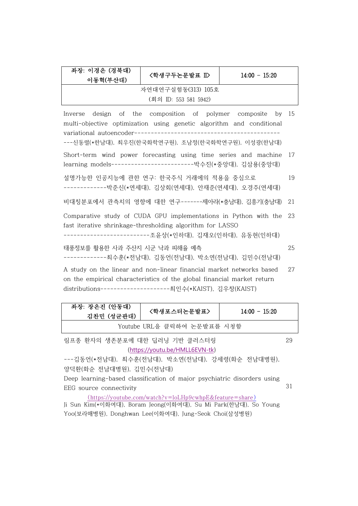| 좌장: 이경은 (경북대)<br>이동혁(부산대)                                                                                                                                                                            | <학생구두논문발표 ID                                           | $14:00 - 15:20$ |    |  |
|------------------------------------------------------------------------------------------------------------------------------------------------------------------------------------------------------|--------------------------------------------------------|-----------------|----|--|
| 자연대연구실험동(313) 105호                                                                                                                                                                                   |                                                        |                 |    |  |
|                                                                                                                                                                                                      | (회의 ID: 553 581 5942)                                  |                 |    |  |
| design of the composition of polymer composite by 15<br>Inverse<br>multi-objective optimization using genetic algorithm and conditional                                                              |                                                        |                 |    |  |
|                                                                                                                                                                                                      | ---신동렬(*한남대), 최우진(한국화학연구원), 조남정(한국화학연구원), 이성광(한남대)     |                 |    |  |
| Short-term wind power forecasting using time series and machine<br>-17<br>learning models---------------------------------박수진(*중앙대), 김삼용(중앙대)                                                        |                                                        |                 |    |  |
| 설명가능한 인공지능에 관한 연구: 한국주식 거래에의 적용을 중심으로<br>19<br>-------------박준신(*연세대), 김상회(연세대), 안재준(연세대), 오경주(연세대)                                                                                                  |                                                        |                 |    |  |
| 비대칭분포에서 관측치의 영향에 대한 연구-------제아라(*충남대), 김흥기(충남대)<br>21                                                                                                                                               |                                                        |                 |    |  |
| Comparative study of CUDA GPU implementations in Python with the<br>- 23<br>fast iterative shrinkage-thresholding algorithm for LASSO<br>------------------------------조윤상(*인하대), 김재오(인하대), 유동현(인하대) |                                                        |                 |    |  |
| 태풍정보를 활용한 사과 주산지 시군 낙과 피해율 예측                                                                                                                                                                        | ---------------최수훈(*전남대), 김동언(전남대), 박소연(전남대), 김민수(전남대) |                 | 25 |  |
| A study on the linear and non-linear financial market networks based<br>27<br>on the empirical characteristics of the global financial market return                                                 |                                                        |                 |    |  |

distributions---------------------최인수(\*KAIST), 김우창(KAIST)

| 좌장: 장은진 (안동대)<br>김찬민 (성균관대) | 〈학생포스터논문발표〉 | $14:00 - 15:20$ |  |
|-----------------------------|-------------|-----------------|--|
| Youtube URL을 클릭하여 논문발표를 시청함 |             |                 |  |

림프종 환자의 생존분포에 대한 딥러닝 기반 클러스터링 (https://youtu.be/HMLL6EVN-tk) 29

---김동언(\*전남대), 최수훈(전남대), 박소연(전남대), 강세령(화순 전남대병원), 양덕환(화순 전남대병원), 김민수(전남대)

Deep learning-based classification of major psychiatric disorders using EEG source connectivity 31

(https://youtube.com/watch?v=loLHp9cwhpE&feature=share) Ji Sun Kim(\*이화여대), Boram Jeong(이화여대), Su Mi Park(한남대), So Young Yoo(보라매병원), Donghwan Lee(이화여대), Jung-Seok Choi(삼성병원)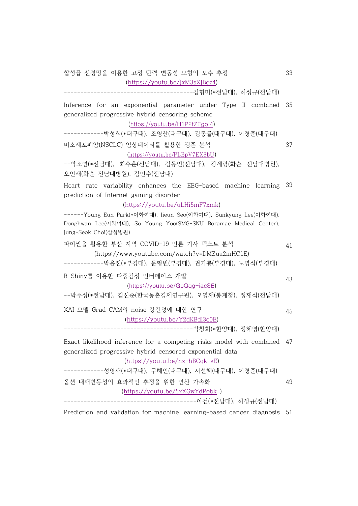합성곱 신경망을 이용한 고정 탄력 변동성 모형의 모수 추정 (https://youtu.be/JxM3sXJBcz4)

---------------------------------------김형미(\*전남대), 허정규(전남대)

Inference for an exponential parameter under Type II combined generalized progressive hybrid censoring scheme (https://youtu.be/H1P2fZEgoI4) 35

------------박성희(\*대구대), 조영찬(대구대), 김동률(대구대), 이경준(대구대) 비소세포폐암(NSCLC) 임상데이터를 활용한 생존 분석 37

(https://youtu.be/PLEpV7EX8bU)

--박소연(\*전남대), 최수훈(전남대), 김동언(전남대), 강세령(화순 전남대병원), 오인재(화순 전남대병원), 김민수(전남대)

Heart rate variability enhances the EEG-based machine learning 39 prediction of Internet gaming disorder

(https://youtu.be/uLHi5mF7xmk)

------Young Eun Park(\*이화여대), Jieun Seo(이화여대), Sunkyung Lee(이화여대), Donghwan Lee(이화여대), So Young Yoo(SMG-SNU Boramae Medical Center), Jung-Seok Choi(삼성병원)

파이썬을 활용한 부산 지역 COVID-19 언론 기사 텍스트 분석 (https://www.youtube.com/watch?v=DMZua2mHC1E) 41

------------박윤진(\*부경대), 문형빈(부경대), 권기룡(부경대), 노명석(부경대)

R Shiny를 이용한 다중검정 인터페이스 개발 (https://youtu.be/GbQqg-iacSE)

--박주성(\*전남대), 김신준(한국농촌경제연구원), 오영재(통계청), 정재식(전남대)

XAI 모델 Grad CAM의 noise 강건성에 대한 연구 (https://youtu.be/Y2dKBdl3c0E) ---------------------------------------박창희(\*한양대), 정혜영(한양대)

Exact likelihood inference for a competing risks model with combined 47 generalized progressive hybrid censored exponential data (https://youtu.be/nx-hBCqk\_sE)

------------성영재(\*대구대), 구혜인(대구대), 서선혜(대구대), 이경준(대구대) 옵션 내재변동성의 효과적인 추정을 위한 연산 가속화 (https://youtu.be/5xXGwYdPobk ) 49

----------------------------------------이건(\*전남대), 허정규(전남대)

Prediction and validation for machine learning-based cancer diagnosis 51

43

45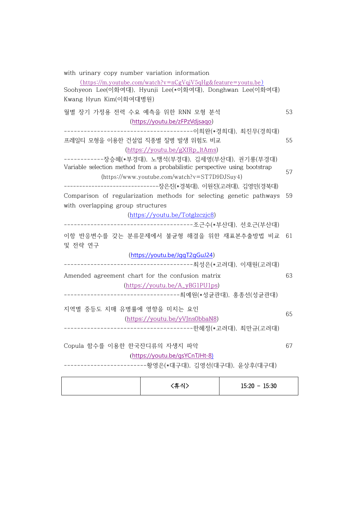| with urinary copy number variation information                                                                                      |     |
|-------------------------------------------------------------------------------------------------------------------------------------|-----|
| $(\text{https://m.youtube.com/watch?v=nCgVqjV5qHg\&feature=youtu.be})$<br>Soohyeon Lee(이화여대), Hyunji Lee(*이화여대), Donghwan Lee(이화여대) |     |
| Kwang Hyun Kim(이화여대병원)                                                                                                              |     |
| 월별 장기 가정용 전력 수요 예측을 위한 RNN 모형 분석                                                                                                    | 53  |
| (https://youtu.be/zFPzVdjsaqo)                                                                                                      |     |
| ----------------------------------이희완(*경희대), 최진무(경희대)                                                                               |     |
| 프레일티 모형을 이용한 건설업 직종별 질병 발생 위험도 비교                                                                                                   | 55  |
| (https://youtu.be/gXfRp_ltAms)                                                                                                      |     |
| ------------장승혜(*부경대), 노맹석(부경대), 김세영(부산대), 권기룡(부경대)<br>Variable selection method from a probabilistic perspective using bootstrap   | 57  |
| (https://www.youtube.com/watch?v=ST7D9DJSuy4)                                                                                       |     |
| ------------------------------------장은진(*경북대), 이원진(고려대), 김영민(경북대)                                                                   |     |
| Comparison of regularization methods for selecting genetic pathways                                                                 | 59  |
| with overlapping group structures                                                                                                   |     |
| (https://youtu.be/Totglzczjc8)                                                                                                      |     |
|                                                                                                                                     |     |
| 이항 반응변수를 갖는 분류문제에서 불균형 해결을 위한 재표본추출방법 비교<br>및 전략 연구                                                                                 | -61 |
| (https://youtu.be/JggT2gGuJ24)                                                                                                      |     |
|                                                                                                                                     |     |
| Amended agreement chart for the confusion matrix                                                                                    | 63  |
| (https://youtu.be/A_yBG1PU1ps)                                                                                                      |     |
| --------------------------------최예원(*성균관대), 홍종선(성균관대)                                                                               |     |
|                                                                                                                                     |     |
| 지역별 중등도 치매 유병률에 영향을 미치는 요인                                                                                                          | 65  |
| (https://youtu.be/yVJns0bbaN8)                                                                                                      |     |
|                                                                                                                                     |     |
| Copula 함수를 이용한 한국잔디류의 자생지 파악                                                                                                        | 67  |
| (https://youtu.be/gsYCnTJHt-8)                                                                                                      |     |
| ------------------------황영은(*대구대), 김영선(대구대), 윤상후(대구대)                                                                               |     |
|                                                                                                                                     |     |

|  | <휴식> | $15:20 - 15:30$ |  |
|--|------|-----------------|--|
|  |      |                 |  |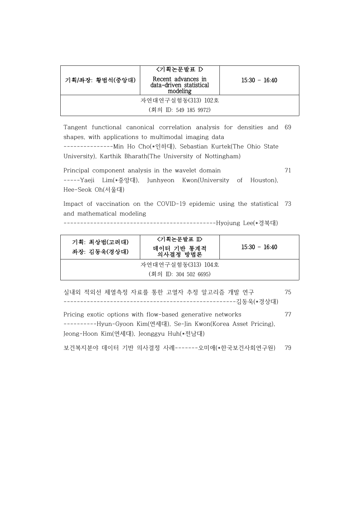|                       | 〈기획논문발표 ▷                                                 |                 |  |
|-----------------------|-----------------------------------------------------------|-----------------|--|
| 기획/좌장: 황범석(중앙대)       | Recent advances in<br>data-driven statistical<br>modeling | $15:30 - 16:40$ |  |
| 자연대연구실험동(313) 102호    |                                                           |                 |  |
| (회의 ID: 549 185 9972) |                                                           |                 |  |

Tangent functional canonical correlation analysis for densities and 69 shapes, with applications to multimodal imaging data

---------------Min Ho Cho(\*인하대), Sebastian Kurtek(The Ohio State University), Karthik Bharath(The University of Nottingham)

Principal component analysis in the wavelet domain -----Yaeji Lim(\*중앙대), Junhyeon Kwon(University of Houston), Hee-Seok Oh(서울대)

71

Impact of vaccination on the COVID-19 epidemic using the statistical 73 and mathematical modeling

----------------------------------------------Hyojung Lee(\*경북대)

| 기획: 최상범(고려대)<br>좌장: 김동욱(경상대) | 〈기획논문발표 Ⅱ〉<br>데이터 기반 통계적<br>의사결정 방법론 | $15:30 - 16:40$ |
|------------------------------|--------------------------------------|-----------------|
| 자연대연구실험동(313) 104호           |                                      |                 |
| (회의 ID: 304 502 6695)        |                                      |                 |

실내외 적외선 체열측정 자료를 통한 고열자 추정 알고리즘 개발 연구 ----------------------------------------------------김동욱(\*경상대) 75

Pricing exotic options with flow-based generative networks ----------Hyun-Gyoon Kim(연세대), Se-Jin Kwon(Korea Asset Pricing), Jeong-Hoon Kim(연세대), Jeonggyu Huh(\*전남대) 77

보건복지분야 데이터 기반 의사결정 사례-------오미애(\*한국보건사회연구원) 79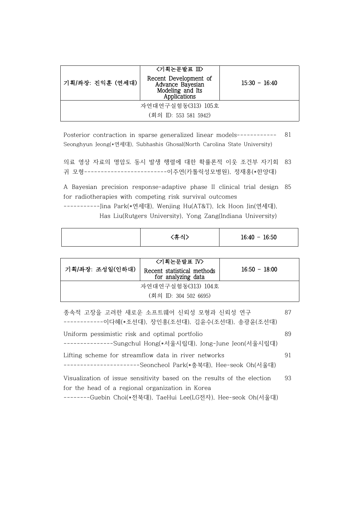| 기획/좌장: 진익훈 (연세대)      | <기획논문발표 Ⅲ><br>Recent Development of<br>Advance Bayesian<br>Modeling and Its<br>Applications | $15:30 - 16:40$ |  |
|-----------------------|---------------------------------------------------------------------------------------------|-----------------|--|
| 자연대연구실험동(313) 105호    |                                                                                             |                 |  |
| (회의 ID: 553 581 5942) |                                                                                             |                 |  |

- Posterior contraction in sparse generalized linear models------------ Seonghyun Jeong(\*연세대), Subhashis Ghosal(North Carolina State University) 81
- 의료 영상 자료의 명암도 동시 발생 행렬에 대한 확률론적 이웃 조건부 자기회 귀 모형-------------------------이주연(카톨릭성모병원), 정재홍(\*한양대) 83

A Bayesian precision response-adaptive phase II clinical trial design 85 for radiotherapies with competing risk survival outcomes -----------Jina Park(\*연세대), Wenjing Hu(AT&T), Ick Hoon Jin(연세대), Has Liu(Rutgers University), Yong Zang(Indiana University)

| 'ㅎ 시` | $16:40 - 16:50$ |
|-------|-----------------|

| 기획/좌장: 조성일(인하대)       | <기획논문발표 IV><br>Recent statistical methods<br>for analyzing data | $16:50 - 18:00$ |
|-----------------------|-----------------------------------------------------------------|-----------------|
| 자연대연구실험동(313) 104호    |                                                                 |                 |
| (회의 ID: 304 502 6695) |                                                                 |                 |

| 종속적 고장을 고려한 새로운 소프트웨어 신뢰성 모형과 신뢰성 연구<br>-이다혜(*조선대), 장인홍(조선대), 김윤수(조선대), 송광윤(조선대)                                            | 87 |
|-----------------------------------------------------------------------------------------------------------------------------|----|
| Uniform pessimistic risk and optimal portfolio<br>-Sungchul Hong(*서울시립대), Jong-June Jeon(서울시립대)                             | 89 |
| Lifting scheme for streamflow data in river networks<br>-Seoncheol Park(*충북대), Hee-seok Oh(서울대)                             | 91 |
| Visualization of issue sensitivity based on the results of the election<br>for the head of a regional organization in Korea | 93 |

--------Guebin Choi(\*전북대), TaeHui Lee(LG전자), Hee-seok Oh(서울대)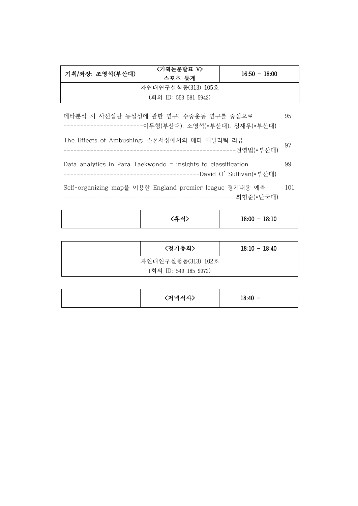| 기획/좌장: 조영석(부산대)       | <기획논문발표 V><br>스포츠 통계 | $16:50 - 18:00$ |
|-----------------------|----------------------|-----------------|
| 자연대연구실험동(313) 105호    |                      |                 |
| (회의 ID: 553 581 5942) |                      |                 |

- 메타분석 시 사전집단 동질성에 관한 연구: 수중운동 연구를 중심으로 ------------------------이두형(부산대), 조영석(\*부산대), 장재우(\*부산대) 95
- The Effects of Ambushing: 스폰서십에서의 메타 애널리틱 리뷰 ----------------------------------------------------권영범(\*부산대) <sup>97</sup>
- Data analytics in Para Taekwondo insights to classification -----------------------------------------David O' Sullivan(\*부산대) 99
- Self-organizing map을 이용한 England premier league 경기내용 예측 ----------------------------------------------------최형준(\*단국대) 101

|  | 〈휴식〉 | $18:00 - 18:10$ |  |
|--|------|-----------------|--|
|--|------|-----------------|--|

|                       | 〈정기총회〉 | $18:10 - 18:40$ |
|-----------------------|--------|-----------------|
| 자연대연구실험동(313) 102호    |        |                 |
| (회의 ID: 549 185 9972) |        |                 |

|  | 〈저녁식사〉 | $18:40 -$ |
|--|--------|-----------|
|--|--------|-----------|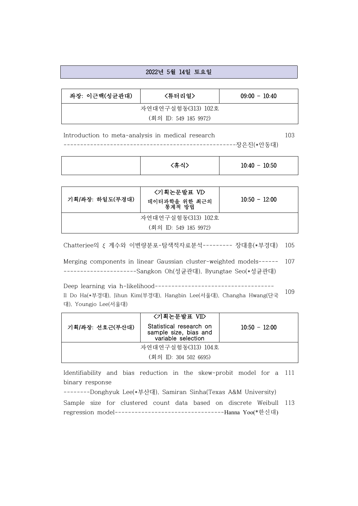#### 2022년 5월 14일 토요일

| 좌장: 이근백(성균관대)         | 〈튜터리얼〉 | $09:00 - 10:40$ |
|-----------------------|--------|-----------------|
| 자연대연구실험동(313) 102호    |        |                 |
| (회의 ID: 549 185 9972) |        |                 |

Introduction to meta-analysis in medical research ----------------------------------------------------장은진(\*안동대) 103

| (휴식) | $10:40 - 10:50$ |
|------|-----------------|
|      |                 |

| 기획/좌장: 하일도(부경대)       | <기획논문발표 VI><br>데이터과학을 위한 최근의<br>통계적 방법 | $10:50 - 12:00$ |
|-----------------------|----------------------------------------|-----------------|
| 자연대연구실험동(313) 102호    |                                        |                 |
| (회의 ID: 549 185 9972) |                                        |                 |

 $Chatterjee의  $\xi$  계수와 이변량분포-탐색적자료분석-------- 장대흥(*부경대) 105$ 

Merging components in linear Gaussian cluster-weighted models------ ----------------------Sangkon Oh(성균관대), Byungtae Seo(\*성균관대) 107

Deep learning via h-likelihood------------------------------------ Il Do Ha(\*부경대), Jihun Kim(부경대), Hangbin Lee(서울대), Changha Hwang(단국 대), Youngjo Lee(서울대) 109

|                       | <기획논문발표 VII>                                                           |                 |
|-----------------------|------------------------------------------------------------------------|-----------------|
| 기획/좌장: 선호근(부산대)       | Statistical research on<br>sample size, bias and<br>variable selection | $10:50 - 12:00$ |
| 자연대연구실험동(313) 104호    |                                                                        |                 |
| (회의 ID: 304 502 6695) |                                                                        |                 |

Identifiability and bias reduction in the skew-probit model for a 111 binary response

--------Donghyuk Lee(\*부산대), Samiran Sinha(Texas A&M University)

Sample size for clustered count data based on discrete Weibull regression model---------------------------------Hanna Yoo(\*한신대) 113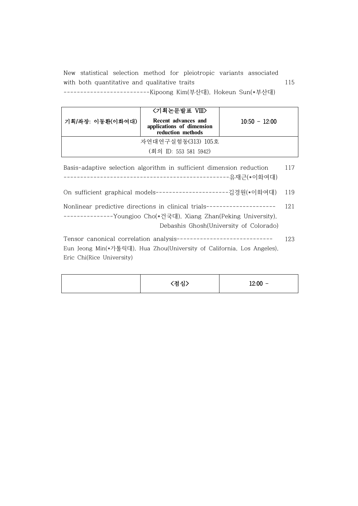New statistical selection method for pleiotropic variants associated with both quantitative and qualitative traits --------------------------Kipoong Kim(부산대), Hokeun Sun(\*부산대) 115

|                    | <기획논문발표 VIII>                                                         |                 |
|--------------------|-----------------------------------------------------------------------|-----------------|
| 기획/좌장: 이동환(이화여대)   | Recent advances and<br>applications of dimension<br>reduction methods | $10:50 - 12:00$ |
| 자연대연구실험동(313) 105호 |                                                                       |                 |
|                    | (회의 ID: 553 581 5942)                                                 |                 |

Basis-adaptive selection algorithm in sufficient dimension reduction --------------------------------------------------유재근(\*이화여대) 117

On sufficient graphical models----------------------김경원(\*이화여대) 119

Nonlinear predictive directions in clinical trials--------------------- ---------------Youngjoo Cho(\*건국대), Xiang Zhan(Peking University), Debashis Ghosh(University of Colorado) 121

Tensor canonical correlation analysis----------------------------- Eun Jeong Min(\*가톨릭대), Hua Zhou(University of California, Los Angeles), Eric Chi(Rice University) 123

|  | (점심) | $12:00 -$ |
|--|------|-----------|
|--|------|-----------|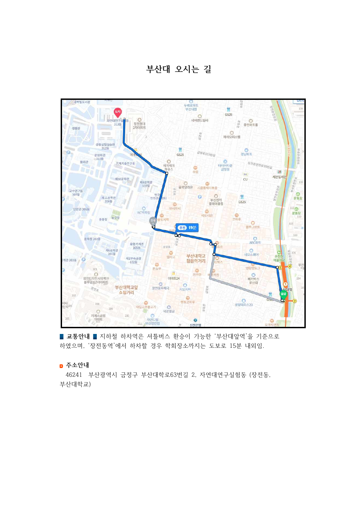**부산대 오시는 길**



■ 교통안내 ■ 지하철 하차역은 셔틀버스 환승이 가능한 '부산대앞역'을 기준으로 하였으며, '장전동역'에서 하차할 경우 학회장소까지는 도보로 15분 내외임.

#### **주소안내**

46241 부산광역시 금정구 부산대학로63번길 2, 자연대연구실험동 (장전동, 부산대학교)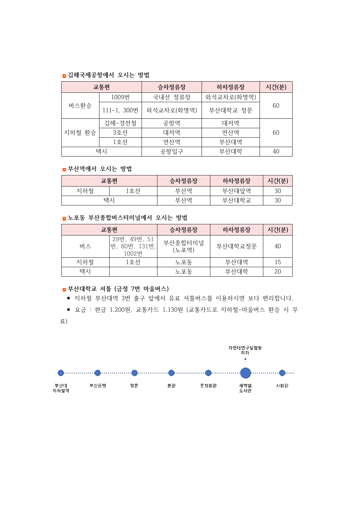#### **김해국제공항에서 오시는 방법**

| 교통편    |             | 승차정류장      | 하차정류장      | 시간(분) |
|--------|-------------|------------|------------|-------|
| 버스환승   | 1009번       | 국내선 정류장    | 와석교차로(화명역) | 60    |
|        | 111-1, 300번 | 와석교차로(화명역) | 부산대학교 정문   |       |
| 지하철 환승 | 김해-경전철      | 공항역        | 대저역        |       |
|        | 3호선         | 대저역        | 연산역        | 60    |
|        | 1호선         | 연산역        | 부산대역       |       |
|        | 택시          | 공항입구       | 부산대학       | 40    |

#### **부산역에서 오시는 방법**

|     | 교통편 | 승차정류장 | 하차정류장 | 시간(분) |
|-----|-----|-------|-------|-------|
| 지하철 | ㅎ서  | 부사역   | 부산대앞역 | 30    |
| 댄ㅅ  |     | 부사역   | 부산대학교 | 30    |

#### **노포동 부산종합버스터미널에서 오시는 방법**

|     | 교통편                                    | 승차정류장            | 하차정류장   | 시간(분) |
|-----|----------------------------------------|------------------|---------|-------|
| 버스  | 29번, 49번, 51<br>번, 80번, 131번,<br>1002번 | 부산종합터미널<br>(노포역) | 부산대학교정문 | 40    |
| 지하철 | 1호선                                    | 노포동              | 부산대역    | 15    |
| 택시  |                                        | 노포동              | 부사대학    | 20    |

#### **부산대학교 셔틀 (금정 7번 마을버스)**

■ 지하철 부산대역 3번 출구 앞에서 유료 셔틀버스를 이용하시면 보다 편리합니다.

■ 요금 : 현금 1,200원, 교통카드 1,130원 (교통카드로 지하철-마을버스 환승 시 무

료)

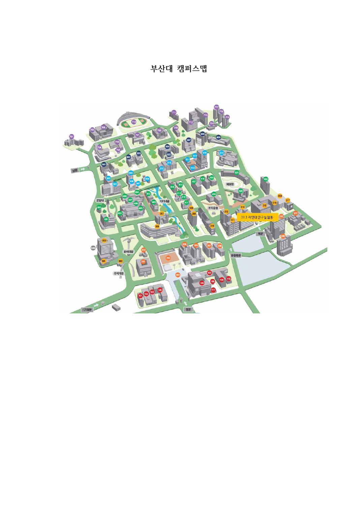